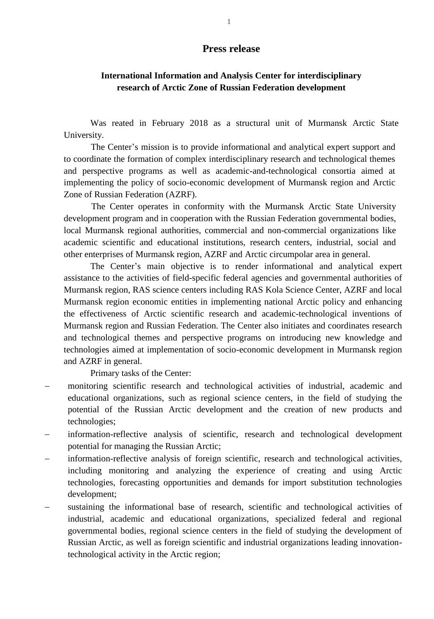## **Press release**

## **International Information and Analysis Center for interdisciplinary research of Arctic Zone of Russian Federation development**

Was reated in February 2018 as a structural unit of Murmansk Arctic State University.

The Center's mission is to provide informational and analytical expert support and to coordinate the formation of complex interdisciplinary research and technological themes and perspective programs as well as academic-and-technological consortia aimed at implementing the policy of socio-economic development of Murmansk region and Arctic Zone of Russian Federation (AZRF).

The Center operates in conformity with the Murmansk Arctic State University development program and in cooperation with the Russian Federation governmental bodies, local Murmansk regional authorities, commercial and non-commercial organizations like academic scientific and educational institutions, research centers, industrial, social and other enterprises of Murmansk region, AZRF and Arctic circumpolar area in general.

The Center's main objective is to render informational and analytical expert assistance to the activities of field-specific federal agencies and governmental authorities of Murmansk region, RAS science centers including RAS Kola Science Center, AZRF and local Murmansk region economic entities in implementing national Arctic policy and enhancing the effectiveness of Arctic scientific research and academic-technological inventions of Murmansk region and Russian Federation. The Center also initiates and coordinates research and technological themes and perspective programs on introducing new knowledge and technologies aimed at implementation of socio-economic development in Murmansk region and AZRF in general.

Primary tasks of the Center:

- monitoring scientific research and technological activities of industrial, academic and educational organizations, such as regional science centers, in the field of studying the potential of the Russian Arctic development and the creation of new products and technologies;
- information-reflective analysis of scientific, research and technological development potential for managing the Russian Arctic;
- information-reflective analysis of foreign scientific, research and technological activities, including monitoring and analyzing the experience of creating and using Arctic technologies, forecasting opportunities and demands for import substitution technologies development;
- sustaining the informational base of research, scientific and technological activities of industrial, academic and educational organizations, specialized federal and regional governmental bodies, regional science centers in the field of studying the development of Russian Arctic, as well as foreign scientific and industrial organizations leading innovationtechnological activity in the Arctic region;